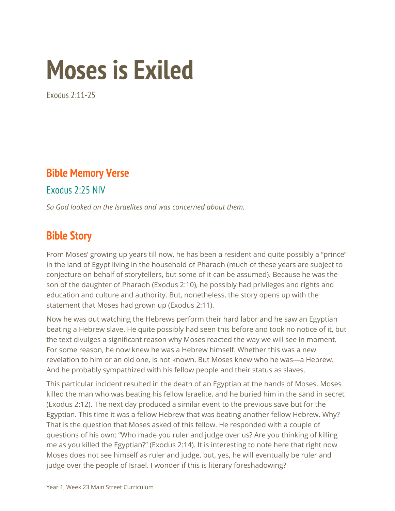# **Moses is Exiled**

Exodus 2:11-25

# **Bible Memory Verse**

Exodus 2:25 NIV

*So God looked on the Israelites and was concerned about them.*

# **Bible Story**

From Moses' growing up years till now, he has been a resident and quite possibly a "prince" in the land of Egypt living in the household of Pharaoh (much of these years are subject to conjecture on behalf of storytellers, but some of it can be assumed). Because he was the son of the daughter of Pharaoh (Exodus 2:10), he possibly had privileges and rights and education and culture and authority. But, nonetheless, the story opens up with the statement that Moses had grown up (Exodus 2:11).

Now he was out watching the Hebrews perform their hard labor and he saw an Egyptian beating a Hebrew slave. He quite possibly had seen this before and took no notice of it, but the text divulges a significant reason why Moses reacted the way we will see in moment. For some reason, he now knew he was a Hebrew himself. Whether this was a new revelation to him or an old one, is not known. But Moses knew who he was—a Hebrew. And he probably sympathized with his fellow people and their status as slaves.

This particular incident resulted in the death of an Egyptian at the hands of Moses. Moses killed the man who was beating his fellow Israelite, and he buried him in the sand in secret (Exodus 2:12). The next day produced a similar event to the previous save but for the Egyptian. This time it was a fellow Hebrew that was beating another fellow Hebrew. Why? That is the question that Moses asked of this fellow. He responded with a couple of questions of his own: "Who made you ruler and judge over us? Are you thinking of killing me as you killed the Egyptian?" (Exodus 2:14). It is interesting to note here that right now Moses does not see himself as ruler and judge, but, yes, he will eventually be ruler and judge over the people of Israel. I wonder if this is literary foreshadowing?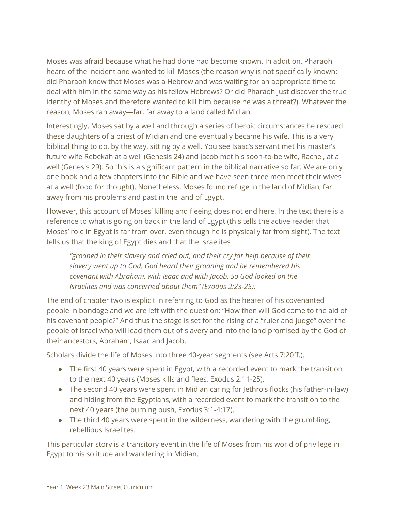Moses was afraid because what he had done had become known. In addition, Pharaoh heard of the incident and wanted to kill Moses (the reason why is not specifically known: did Pharaoh know that Moses was a Hebrew and was waiting for an appropriate time to deal with him in the same way as his fellow Hebrews? Or did Pharaoh just discover the true identity of Moses and therefore wanted to kill him because he was a threat?). Whatever the reason, Moses ran away—far, far away to a land called Midian.

Interestingly, Moses sat by a well and through a series of heroic circumstances he rescued these daughters of a priest of Midian and one eventually became his wife. This is a very biblical thing to do, by the way, sitting by a well. You see Isaac's servant met his master's future wife Rebekah at a well (Genesis 24) and Jacob met his soon-to-be wife, Rachel, at a well (Genesis 29). So this is a significant pattern in the biblical narrative so far. We are only one book and a few chapters into the Bible and we have seen three men meet their wives at a well (food for thought). Nonetheless, Moses found refuge in the land of Midian, far away from his problems and past in the land of Egypt.

However, this account of Moses' killing and fleeing does not end here. In the text there is a reference to what is going on back in the land of Egypt (this tells the active reader that Moses' role in Egypt is far from over, even though he is physically far from sight). The text tells us that the king of Egypt dies and that the Israelites

*"groaned in their slavery and cried out, and their cry for help because of their slavery went up to God. God heard their groaning and he remembered his covenant with Abraham, with Isaac and with Jacob. So God looked on the Israelites and was concerned about them" (Exodus 2:23-25).*

The end of chapter two is explicit in referring to God as the hearer of his covenanted people in bondage and we are left with the question: "How then will God come to the aid of his covenant people?" And thus the stage is set for the rising of a "ruler and judge" over the people of Israel who will lead them out of slavery and into the land promised by the God of their ancestors, Abraham, Isaac and Jacob.

Scholars divide the life of Moses into three 40-year segments (see Acts 7:20ff.).

- The first 40 years were spent in Egypt, with a recorded event to mark the transition to the next 40 years (Moses kills and flees, Exodus 2:11-25).
- The second 40 years were spent in Midian caring for Jethro's flocks (his father-in-law) and hiding from the Egyptians, with a recorded event to mark the transition to the next 40 years (the burning bush, Exodus 3:1-4:17).
- The third 40 years were spent in the wilderness, wandering with the grumbling, rebellious Israelites.

This particular story is a transitory event in the life of Moses from his world of privilege in Egypt to his solitude and wandering in Midian.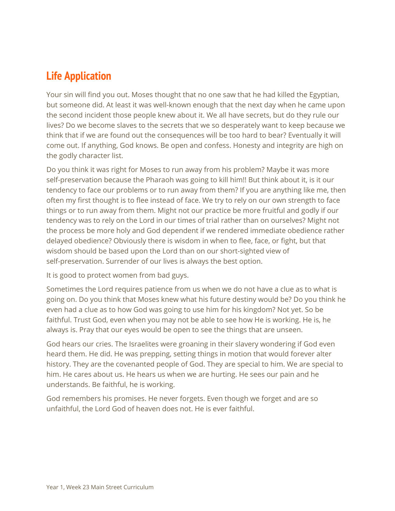# **Life Application**

Your sin will find you out. Moses thought that no one saw that he had killed the Egyptian, but someone did. At least it was well-known enough that the next day when he came upon the second incident those people knew about it. We all have secrets, but do they rule our lives? Do we become slaves to the secrets that we so desperately want to keep because we think that if we are found out the consequences will be too hard to bear? Eventually it will come out. If anything, God knows. Be open and confess. Honesty and integrity are high on the godly character list.

Do you think it was right for Moses to run away from his problem? Maybe it was more self-preservation because the Pharaoh was going to kill him!! But think about it, is it our tendency to face our problems or to run away from them? If you are anything like me, then often my first thought is to flee instead of face. We try to rely on our own strength to face things or to run away from them. Might not our practice be more fruitful and godly if our tendency was to rely on the Lord in our times of trial rather than on ourselves? Might not the process be more holy and God dependent if we rendered immediate obedience rather delayed obedience? Obviously there is wisdom in when to flee, face, or fight, but that wisdom should be based upon the Lord than on our short-sighted view of self-preservation. Surrender of our lives is always the best option.

It is good to protect women from bad guys.

Sometimes the Lord requires patience from us when we do not have a clue as to what is going on. Do you think that Moses knew what his future destiny would be? Do you think he even had a clue as to how God was going to use him for his kingdom? Not yet. So be faithful. Trust God, even when you may not be able to see how He is working. He is, he always is. Pray that our eyes would be open to see the things that are unseen.

God hears our cries. The Israelites were groaning in their slavery wondering if God even heard them. He did. He was prepping, setting things in motion that would forever alter history. They are the covenanted people of God. They are special to him. We are special to him. He cares about us. He hears us when we are hurting. He sees our pain and he understands. Be faithful, he is working.

God remembers his promises. He never forgets. Even though we forget and are so unfaithful, the Lord God of heaven does not. He is ever faithful.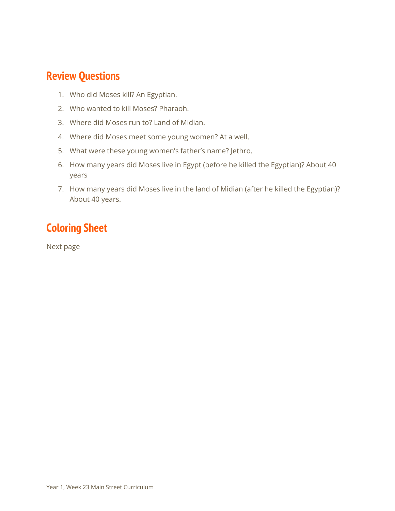#### **Review Questions**

- 1. Who did Moses kill? An Egyptian.
- 2. Who wanted to kill Moses? Pharaoh.
- 3. Where did Moses run to? Land of Midian.
- 4. Where did Moses meet some young women? At a well.
- 5. What were these young women's father's name? Jethro.
- 6. How many years did Moses live in Egypt (before he killed the Egyptian)? About 40 years
- 7. How many years did Moses live in the land of Midian (after he killed the Egyptian)? About 40 years.

# **Coloring Sheet**

Next page